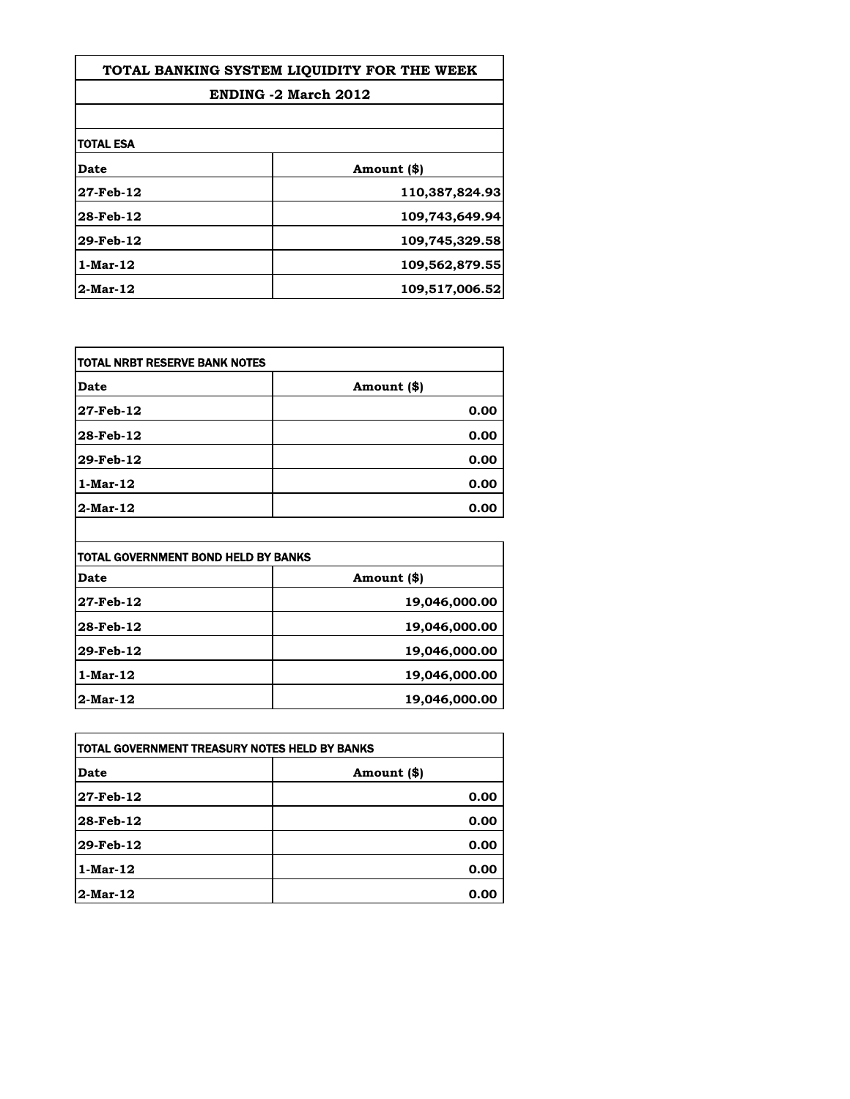| TOTAL BANKING SYSTEM LIQUIDITY FOR THE WEEK<br><b>ENDING -2 March 2012</b> |                |
|----------------------------------------------------------------------------|----------------|
|                                                                            |                |
| TOTAL ESA                                                                  |                |
| Date                                                                       | Amount (\$)    |
| 27-Feb-12                                                                  | 110,387,824.93 |
| 28-Feb-12                                                                  | 109,743,649.94 |
| 29-Feb-12                                                                  | 109,745,329.58 |
| 1-Mar-12                                                                   | 109,562,879.55 |
| 2-Mar-12                                                                   | 109,517,006.52 |

| Date           | Amount (\$) |
|----------------|-------------|
| 27-Feb-12      | 0.00        |
| 28-Feb-12      | 0.00        |
| 29-Feb-12      | 0.00        |
| $1$ -Mar- $12$ | 0.00        |
| $2$ -Mar-12    | 0.00        |

| <b>TOTAL GOVERNMENT BOND HELD BY BANKS</b> |               |
|--------------------------------------------|---------------|
| Date                                       | Amount (\$)   |
| 27-Feb-12                                  | 19,046,000.00 |
| 28-Feb-12                                  | 19,046,000.00 |
| 29-Feb-12                                  | 19,046,000.00 |
| $1$ -Mar-12                                | 19,046,000.00 |
| 2-Mar-12                                   | 19,046,000.00 |

| TOTAL GOVERNMENT TREASURY NOTES HELD BY BANKS |             |
|-----------------------------------------------|-------------|
| Date                                          | Amount (\$) |
| 27-Feb-12                                     | 0.00        |
| 28-Feb-12                                     | 0.00        |
| 29-Feb-12                                     | 0.00        |
| $1$ -Mar- $12$                                | 0.00        |
| $2$ -Mar-12                                   | 0.00        |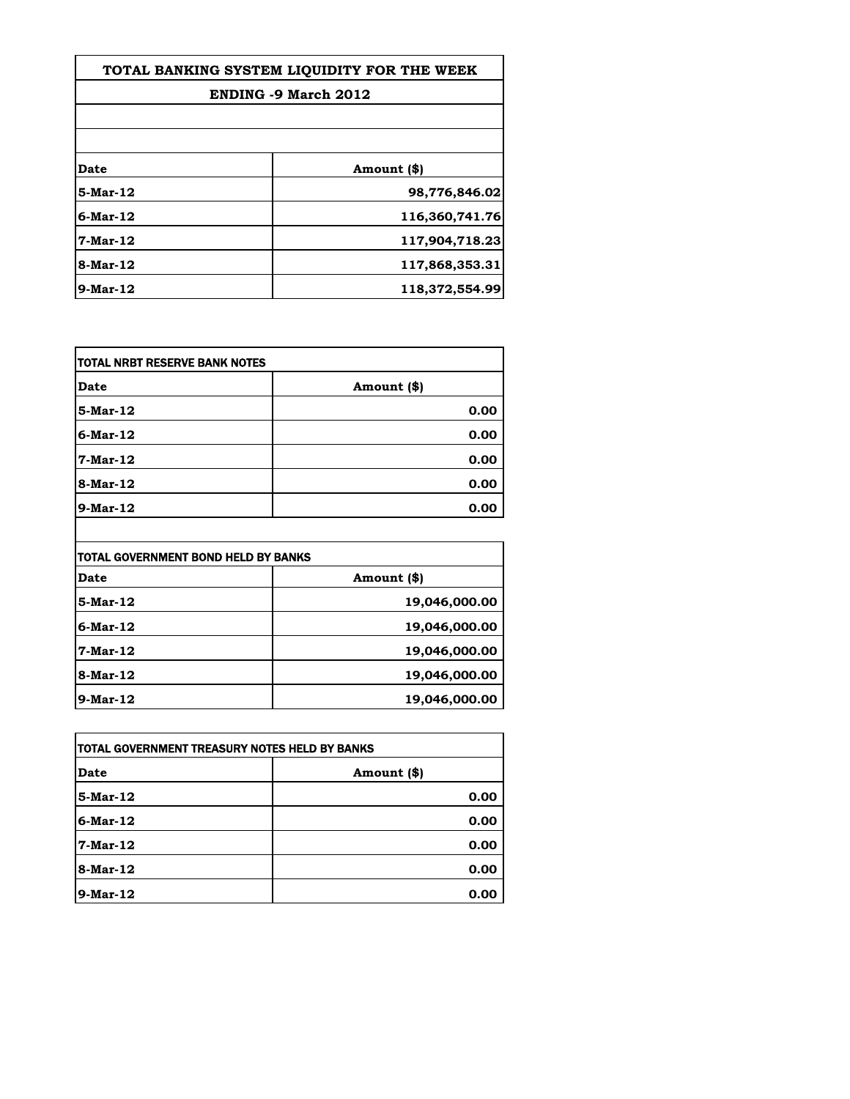| TOTAL BANKING SYSTEM LIQUIDITY FOR THE WEEK |                |
|---------------------------------------------|----------------|
| <b>ENDING -9 March 2012</b>                 |                |
|                                             |                |
|                                             |                |
| Date                                        | Amount (\$)    |
| 5-Mar-12                                    | 98,776,846.02  |
| 6-Mar-12                                    | 116,360,741.76 |
| $7-Mar-12$                                  | 117,904,718.23 |
| 8-Mar-12                                    | 117,868,353.31 |
| $9$ -Mar-12                                 | 118,372,554.99 |

| itotal NRBT RESERVE BANK NOTES |             |
|--------------------------------|-------------|
| <b>Date</b>                    | Amount (\$) |
| 5-Mar-12                       | 0.00        |
| $6$ -Mar-12                    | 0.00        |
| 7-Mar-12                       | 0.00        |
| 8-Mar-12                       | 0.00        |
| 9-Mar-12                       | 0.00        |

| <b>TOTAL GOVERNMENT BOND HELD BY BANKS</b> |               |
|--------------------------------------------|---------------|
| Date                                       | Amount (\$)   |
| 5-Mar-12                                   | 19,046,000.00 |
| $6$ -Mar-12                                | 19,046,000.00 |
| 7-Mar-12                                   | 19,046,000.00 |
| 8-Mar-12                                   | 19,046,000.00 |
| $9-Mar-12$                                 | 19,046,000.00 |

| TOTAL GOVERNMENT TREASURY NOTES HELD BY BANKS |             |
|-----------------------------------------------|-------------|
| Date                                          | Amount (\$) |
| 5-Mar-12                                      | 0.00        |
| $6$ -Mar-12                                   | 0.00        |
| 7-Mar-12                                      | 0.00        |
| 8-Mar-12                                      | 0.00        |
| $9-Mar-12$                                    | 0.00        |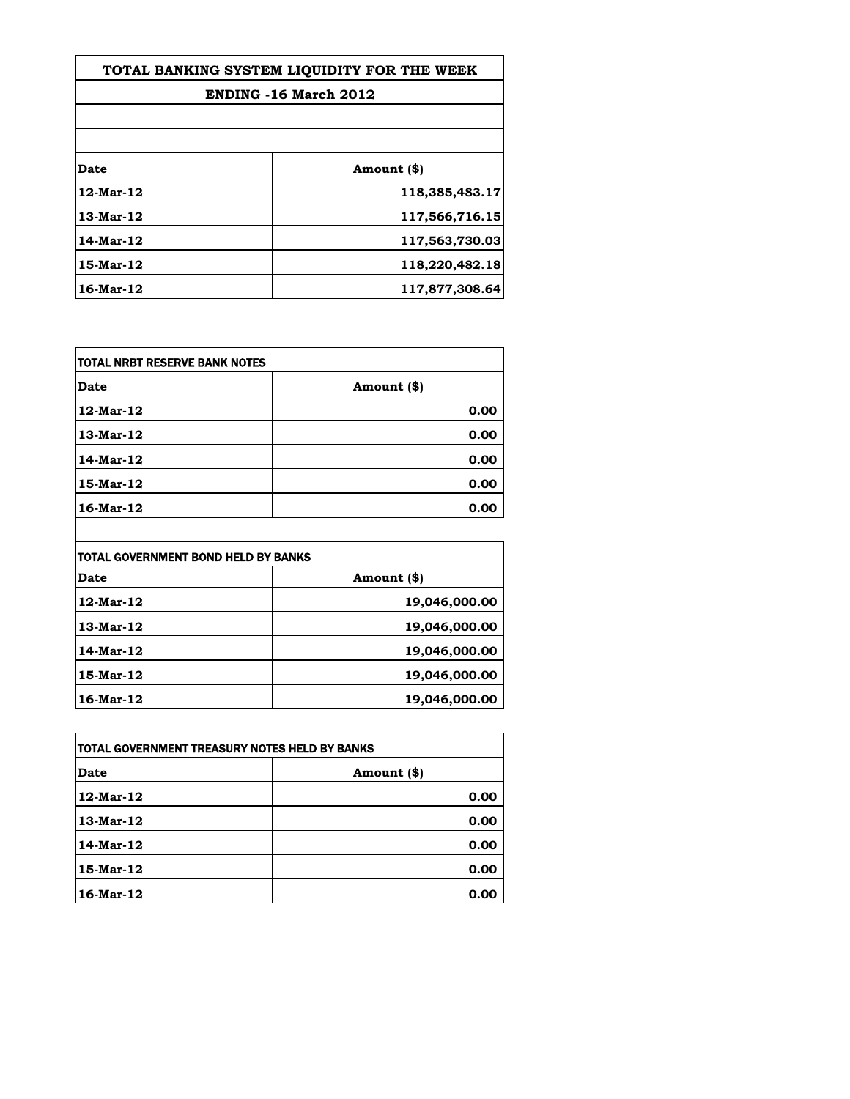| TOTAL BANKING SYSTEM LIOUIDITY FOR THE WEEK |                |
|---------------------------------------------|----------------|
| ENDING -16 March 2012                       |                |
|                                             |                |
|                                             |                |
| Date                                        | Amount (\$)    |
| 12-Mar-12                                   | 118,385,483.17 |
| 13-Mar-12                                   | 117,566,716.15 |
| 14-Mar-12                                   | 117,563,730.03 |
| 15-Mar-12                                   | 118,220,482.18 |
| 16-Mar-12                                   | 117,877,308.64 |

| Date      | Amount (\$) |
|-----------|-------------|
| 12-Mar-12 | 0.00        |
| 13-Mar-12 | 0.00        |
| 14-Mar-12 | 0.00        |
| 15-Mar-12 | 0.00        |
| 16-Mar-12 | 0.00        |

| Date            | Amount (\$)   |
|-----------------|---------------|
| 12-Mar-12       | 19,046,000.00 |
| 13-Mar-12       | 19,046,000.00 |
| 14-Mar-12       | 19,046,000.00 |
| 15-Mar-12       | 19,046,000.00 |
| $16$ -Mar- $12$ | 19,046,000.00 |

| TOTAL GOVERNMENT TREASURY NOTES HELD BY BANKS |             |
|-----------------------------------------------|-------------|
| Date                                          | Amount (\$) |
| $12$ -Mar- $12$                               | 0.00        |
| 13-Mar-12                                     | 0.00        |
| 14-Mar-12                                     | 0.00        |
| 15-Mar-12                                     | 0.00        |
| 16-Mar-12                                     | 0.00        |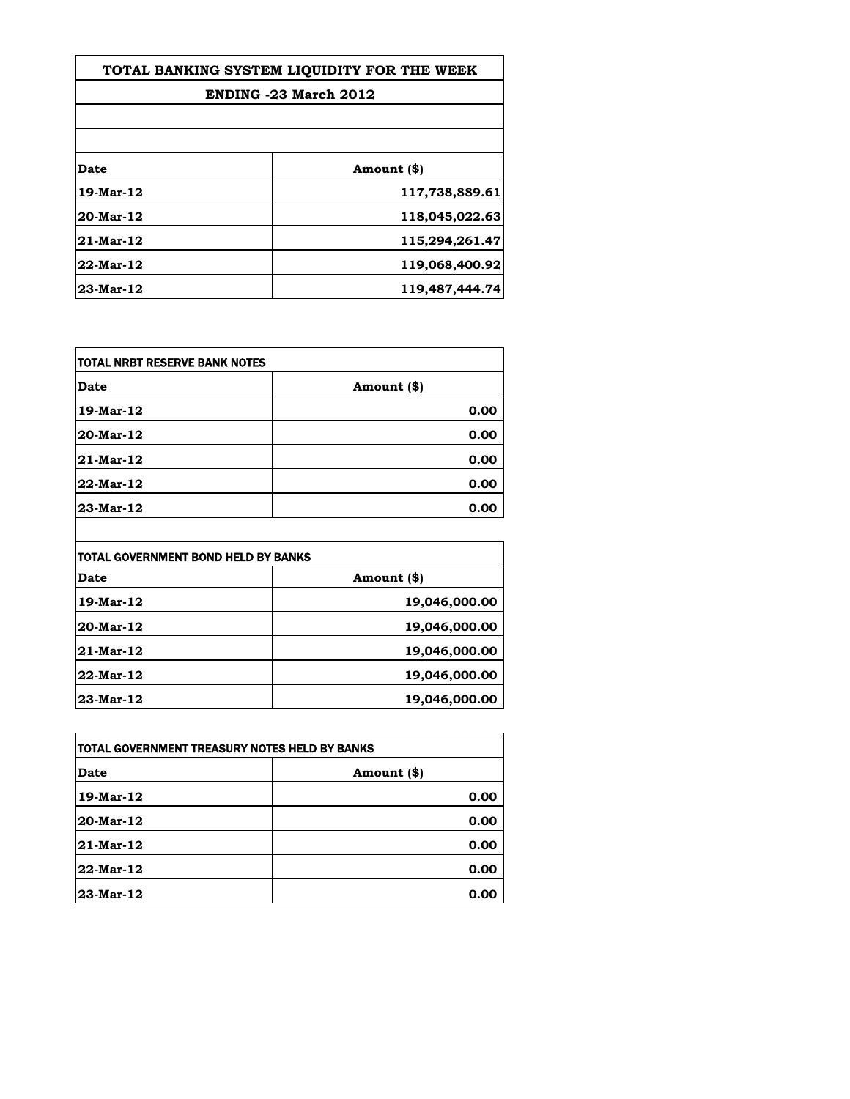| TOTAL BANKING SYSTEM LIQUIDITY FOR THE WEEK |                |
|---------------------------------------------|----------------|
| ENDING -23 March 2012                       |                |
|                                             |                |
| Date                                        | Amount (\$)    |
| 19-Mar-12                                   | 117,738,889.61 |
| 20-Mar-12                                   | 118,045,022.63 |
| 21-Mar-12                                   | 115,294,261.47 |
| 22-Mar-12                                   | 119,068,400.92 |
| 23-Mar-12                                   | 119,487,444.74 |

| <b>TOTAL NRBT RESERVE BANK NOTES</b> |             |
|--------------------------------------|-------------|
| <b>Date</b>                          | Amount (\$) |
| 19-Mar-12                            | 0.00        |
| 20-Mar-12                            | 0.00        |
| 21-Mar-12                            | 0.00        |
| 22-Mar-12                            | 0.00        |
| 23-Mar-12                            | 0.00        |

| <b>TOTAL GOVERNMENT BOND HELD BY BANKS</b> |               |
|--------------------------------------------|---------------|
| Date                                       | Amount (\$)   |
| 19-Mar-12                                  | 19,046,000.00 |
| 20-Mar-12                                  | 19,046,000.00 |
| $21$ -Mar-12                               | 19,046,000.00 |
| 22-Mar-12                                  | 19,046,000.00 |
| 23-Mar-12                                  | 19,046,000.00 |

 $\overline{\phantom{a}}$ 

| ITOTAL GOVERNMENT TREASURY NOTES HELD BY BANKS |             |
|------------------------------------------------|-------------|
| Date                                           | Amount (\$) |
| 19-Mar-12                                      | 0.00        |
| 20-Mar-12                                      | 0.00        |
| 21-Mar-12                                      | 0.00        |
| 22-Mar-12                                      | 0.00        |
| 23-Mar-12                                      | 0.00        |